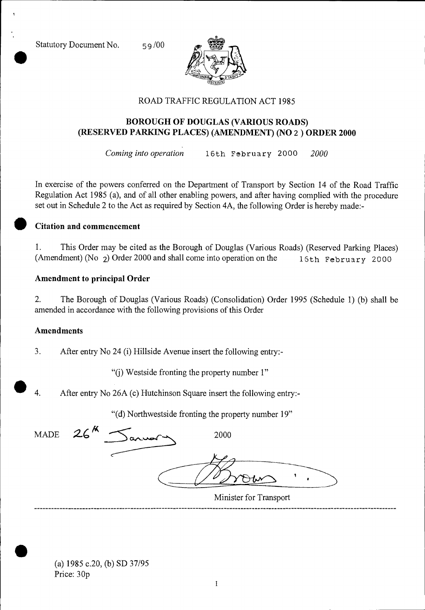Statutory Document No. 59/00



### ROAD TRAFFIC REGULATION ACT 1985

## **BOROUGH OF DOUGLAS (VARIOUS ROADS) (RESERVED PARKING PLACES) (AMENDMENT) (NO** 2 **) ORDER 2000**

*Coming into operation* 16th February 2000 *2000* 

In exercise of the powers conferred on the Department of Transport by Section 14 of the Road Traffic Regulation Act 1985 (a), and of all other enabling powers, and after having complied with the procedure set out in Schedule 2 to the Act as required by Section 4A, the following Order is hereby made:-

#### **• Citation and commencement**

1. This Order may be cited as the Borough of Douglas (Various Roads) (Reserved Parking Places) (Amendment) (No 2) Order 2000 and shall come into operation on the 16th February 2000

#### **Amendment to principal Order**

2. The Borough of Douglas (Various Roads) (Consolidation) Order 1995 (Schedule 1) (b) shall be amended in accordance with the following provisions of this Order

#### **Amendments**

3. After entry No 24 (i) Hillside Avenue insert the following entry:-

"(j) Westside fronting the property number 1"

4. After entry No 26A (c) Hutchinson Square insert the following entry:-

| "(d) Northwestside fronting the property number 19" |  |  |
|-----------------------------------------------------|--|--|
|                                                     |  |  |

MADE  $26^{k}$   $\leq$   $\approx$  2000

•

•

Minister for Transport

(a) 1985 c.20, (b) SD 37/95 Price: 30p